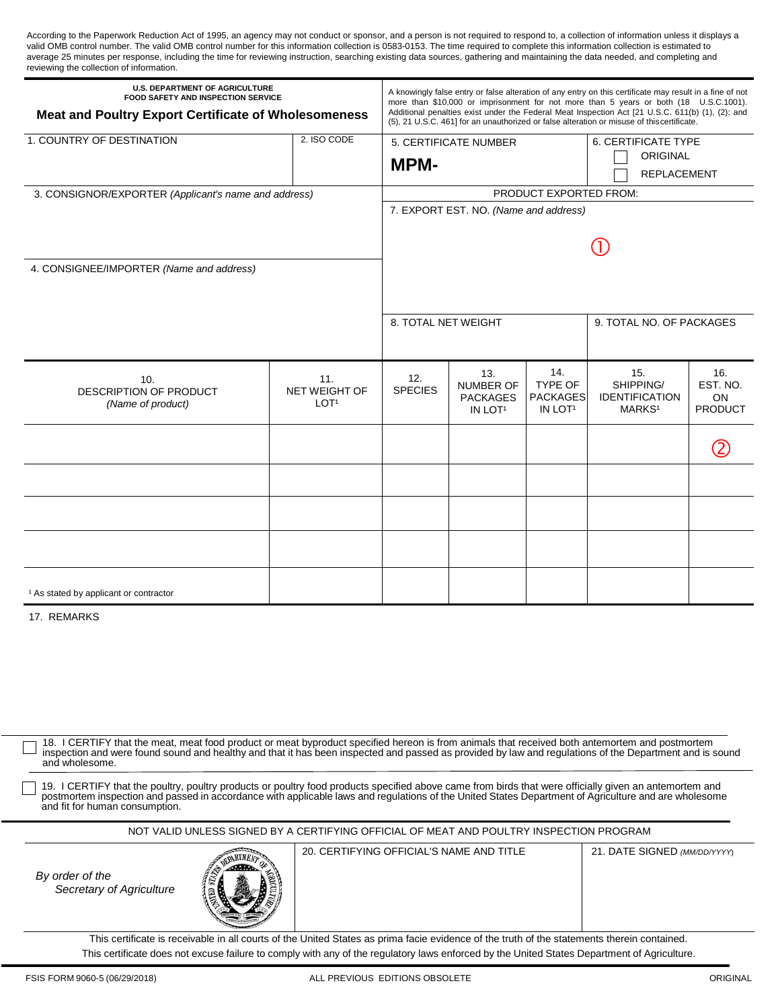According to the Paperwork Reduction Act of 1995, an agency may not conduct or sponsor, and a person is not required to respond to, a collection of information unless it displays a valid OMB control number. The valid OMB control number for this information collection is 0583-0153. The time required to complete this information collection is estimated to average 25 minutes per response, including the time for reviewing instruction, searching existing data sources, gathering and maintaining the data needed, and completing and reviewing the collection of information.

| <b>U.S. DEPARTMENT OF AGRICULTURE</b><br><b>FOOD SAFETY AND INSPECTION SERVICE</b> |                  | A knowingly false entry or false alteration of any entry on this certificate may result in a fine of not<br>more than \$10,000 or imprisonment for not more than 5 years or both (18 U.S.C.1001).<br>Additional penalties exist under the Federal Meat Inspection Act [21 U.S.C. 611(b) (1), (2); and<br>(5), 21 U.S.C. 461] for an unauthorized or false alteration or misuse of this certificate. |                                     |                       |                            |                |
|------------------------------------------------------------------------------------|------------------|-----------------------------------------------------------------------------------------------------------------------------------------------------------------------------------------------------------------------------------------------------------------------------------------------------------------------------------------------------------------------------------------------------|-------------------------------------|-----------------------|----------------------------|----------------|
| <b>Meat and Poultry Export Certificate of Wholesomeness</b>                        |                  |                                                                                                                                                                                                                                                                                                                                                                                                     |                                     |                       |                            |                |
| 1. COUNTRY OF DESTINATION                                                          | 2. ISO CODE      | 5. CERTIFICATE NUMBER                                                                                                                                                                                                                                                                                                                                                                               |                                     |                       | <b>6. CERTIFICATE TYPE</b> |                |
|                                                                                    |                  | <b>MPM-</b>                                                                                                                                                                                                                                                                                                                                                                                         |                                     |                       | <b>ORIGINAL</b>            |                |
|                                                                                    |                  |                                                                                                                                                                                                                                                                                                                                                                                                     |                                     |                       | <b>REPLACEMENT</b>         |                |
| 3. CONSIGNOR/EXPORTER (Applicant's name and address)                               |                  | PRODUCT EXPORTED FROM:                                                                                                                                                                                                                                                                                                                                                                              |                                     |                       |                            |                |
|                                                                                    |                  | 7. EXPORT EST. NO. (Name and address)                                                                                                                                                                                                                                                                                                                                                               |                                     |                       |                            |                |
|                                                                                    |                  |                                                                                                                                                                                                                                                                                                                                                                                                     |                                     |                       |                            |                |
|                                                                                    |                  |                                                                                                                                                                                                                                                                                                                                                                                                     |                                     |                       |                            |                |
| 4. CONSIGNEE/IMPORTER (Name and address)                                           |                  |                                                                                                                                                                                                                                                                                                                                                                                                     |                                     |                       |                            |                |
|                                                                                    |                  |                                                                                                                                                                                                                                                                                                                                                                                                     |                                     |                       |                            |                |
|                                                                                    |                  |                                                                                                                                                                                                                                                                                                                                                                                                     |                                     |                       |                            |                |
|                                                                                    |                  | 8. TOTAL NET WEIGHT                                                                                                                                                                                                                                                                                                                                                                                 |                                     |                       | 9. TOTAL NO. OF PACKAGES   |                |
|                                                                                    |                  |                                                                                                                                                                                                                                                                                                                                                                                                     |                                     |                       |                            |                |
|                                                                                    |                  |                                                                                                                                                                                                                                                                                                                                                                                                     |                                     |                       |                            |                |
| 10.                                                                                | 11.              | 12.                                                                                                                                                                                                                                                                                                                                                                                                 | 13.                                 | 14.<br><b>TYPE OF</b> | 15.<br>SHIPPING/           | 16.            |
| DESCRIPTION OF PRODUCT                                                             | NET WEIGHT OF    | <b>SPECIES</b>                                                                                                                                                                                                                                                                                                                                                                                      | <b>NUMBER OF</b><br><b>PACKAGES</b> | <b>PACKAGES</b>       | <b>IDENTIFICATION</b>      | EST. NO.<br>ON |
| (Name of product)                                                                  | LOT <sup>1</sup> |                                                                                                                                                                                                                                                                                                                                                                                                     | IN LOT <sup>1</sup>                 | IN LOT <sup>1</sup>   | MARKS <sup>1</sup>         | <b>PRODUCT</b> |
|                                                                                    |                  |                                                                                                                                                                                                                                                                                                                                                                                                     |                                     |                       |                            |                |
|                                                                                    |                  |                                                                                                                                                                                                                                                                                                                                                                                                     |                                     |                       |                            |                |
|                                                                                    |                  |                                                                                                                                                                                                                                                                                                                                                                                                     |                                     |                       |                            |                |
|                                                                                    |                  |                                                                                                                                                                                                                                                                                                                                                                                                     |                                     |                       |                            |                |
|                                                                                    |                  |                                                                                                                                                                                                                                                                                                                                                                                                     |                                     |                       |                            |                |
|                                                                                    |                  |                                                                                                                                                                                                                                                                                                                                                                                                     |                                     |                       |                            |                |
|                                                                                    |                  |                                                                                                                                                                                                                                                                                                                                                                                                     |                                     |                       |                            |                |
|                                                                                    |                  |                                                                                                                                                                                                                                                                                                                                                                                                     |                                     |                       |                            |                |
|                                                                                    |                  |                                                                                                                                                                                                                                                                                                                                                                                                     |                                     |                       |                            |                |
| <sup>1</sup> As stated by applicant or contractor                                  |                  |                                                                                                                                                                                                                                                                                                                                                                                                     |                                     |                       |                            |                |

17. REMARKS

18. I CERTIFY that the meat, meat food product or meat byproduct specified hereon is from animals that received both antemortem and postmortem<br>inspection and were found sound and healthy and that it has been inspected and and wholesome.

19. I CERTIFY that the poultry, poultry products or poultry food products specified above came from birds that were officially given an antemortem and<br>postmortem inspection and passed in accordance with applicable laws and  $\Box$ and fit for human consumption.

NOT VALID UNLESS SIGNED BY A CERTIFYING OFFICIAL OF MEAT AND POULTRY INSPECTION PROGRAM

*By order of the Secretary of Agriculture* 



20. CERTIFYING OFFICIAL'S NAME AND TITLE 21. DATE SIGNED *(MM/DD/YYYY*)

 This certificate is receivable in all courts of the United States as prima facie evidence of the truth of the statements therein contained. This certificate does not excuse failure to comply with any of the regulatory laws enforced by the United States Department of Agriculture.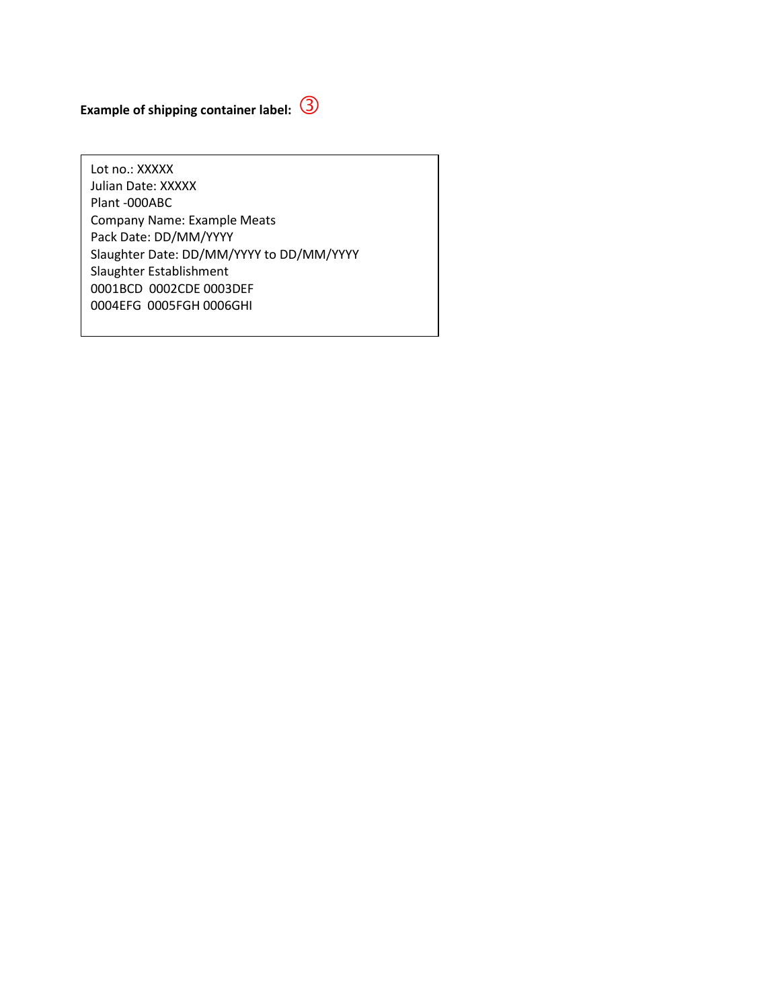## **Example of shipping container label:**

 Company Name: Example Meats Slaughter Date: DD/MM/YYYY to DD/MM/YYYY 0004EFG 0005FGH 0006GHI Lot no.: XXXXX Julian Date: XXXXX Plant -000ABC Pack Date: DD/MM/YYYY Slaughter Establishment 0001BCD 0002CDE 0003DEF